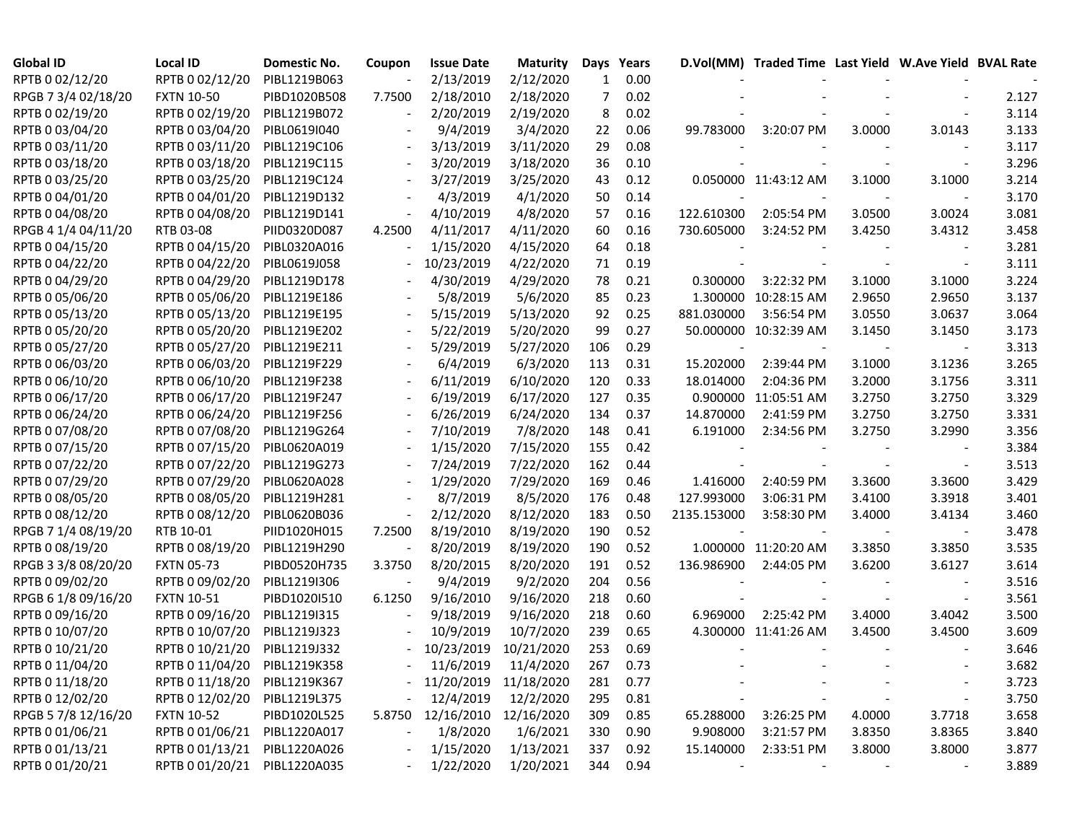| <b>Global ID</b>    | <b>Local ID</b>              | Domestic No. | Coupon | <b>Issue Date</b>       | <b>Maturity</b> | Days | Years    |                          | D.Vol(MM) Traded Time Last Yield W.Ave Yield BVAL Rate |        |                          |       |
|---------------------|------------------------------|--------------|--------|-------------------------|-----------------|------|----------|--------------------------|--------------------------------------------------------|--------|--------------------------|-------|
| RPTB 0 02/12/20     | RPTB 0 02/12/20              | PIBL1219B063 |        | 2/13/2019               | 2/12/2020       | 1    | 0.00     |                          |                                                        |        |                          |       |
| RPGB 7 3/4 02/18/20 | <b>FXTN 10-50</b>            | PIBD1020B508 | 7.7500 | 2/18/2010               | 2/18/2020       | 7    | 0.02     |                          |                                                        |        |                          | 2.127 |
| RPTB 0 02/19/20     | RPTB 0 02/19/20              | PIBL1219B072 |        | 2/20/2019               | 2/19/2020       | 8    | 0.02     |                          |                                                        |        |                          | 3.114 |
| RPTB 0 03/04/20     | RPTB 0 03/04/20              | PIBL0619I040 |        | 9/4/2019                | 3/4/2020        | 22   | 0.06     | 99.783000                | 3:20:07 PM                                             | 3.0000 | 3.0143                   | 3.133 |
| RPTB 0 03/11/20     | RPTB 0 03/11/20              | PIBL1219C106 |        | 3/13/2019               | 3/11/2020       | 29   | 0.08     |                          |                                                        |        |                          | 3.117 |
| RPTB 0 03/18/20     | RPTB 0 03/18/20              | PIBL1219C115 |        | 3/20/2019               | 3/18/2020       | 36   | 0.10     |                          |                                                        |        |                          | 3.296 |
| RPTB 0 03/25/20     | RPTB 0 03/25/20              | PIBL1219C124 |        | 3/27/2019               | 3/25/2020       | 43   | 0.12     |                          | 0.050000 11:43:12 AM                                   | 3.1000 | 3.1000                   | 3.214 |
| RPTB 0 04/01/20     | RPTB 0 04/01/20              | PIBL1219D132 |        | 4/3/2019                | 4/1/2020        | 50   | 0.14     |                          |                                                        |        | $\blacksquare$           | 3.170 |
| RPTB 0 04/08/20     | RPTB 0 04/08/20              | PIBL1219D141 |        | 4/10/2019               | 4/8/2020        | 57   | 0.16     | 122.610300               | 2:05:54 PM                                             | 3.0500 | 3.0024                   | 3.081 |
| RPGB 4 1/4 04/11/20 | RTB 03-08                    | PIID0320D087 | 4.2500 | 4/11/2017               | 4/11/2020       | 60   | 0.16     | 730.605000               | 3:24:52 PM                                             | 3.4250 | 3.4312                   | 3.458 |
| RPTB 0 04/15/20     | RPTB 0 04/15/20              | PIBL0320A016 |        | 1/15/2020               | 4/15/2020       | 64   | 0.18     |                          |                                                        |        |                          | 3.281 |
| RPTB 0 04/22/20     | RPTB 0 04/22/20              | PIBL0619J058 |        | 10/23/2019              | 4/22/2020       | 71   | 0.19     |                          |                                                        |        |                          | 3.111 |
| RPTB 0 04/29/20     | RPTB 0 04/29/20              | PIBL1219D178 |        | 4/30/2019               | 4/29/2020       | 78   | 0.21     | 0.300000                 | 3:22:32 PM                                             | 3.1000 | 3.1000                   | 3.224 |
| RPTB 0 05/06/20     | RPTB 0 05/06/20              | PIBL1219E186 |        | 5/8/2019                | 5/6/2020        | 85   | 0.23     |                          | 1.300000 10:28:15 AM                                   | 2.9650 | 2.9650                   | 3.137 |
| RPTB 0 05/13/20     | RPTB 0 05/13/20              | PIBL1219E195 |        | 5/15/2019               | 5/13/2020       | 92   | 0.25     | 881.030000               | 3:56:54 PM                                             | 3.0550 | 3.0637                   | 3.064 |
| RPTB 0 05/20/20     | RPTB 0 05/20/20              | PIBL1219E202 |        | 5/22/2019               | 5/20/2020       | 99   | 0.27     |                          | 50.000000 10:32:39 AM                                  | 3.1450 | 3.1450                   | 3.173 |
| RPTB 0 05/27/20     | RPTB 0 05/27/20              | PIBL1219E211 |        | 5/29/2019               | 5/27/2020       | 106  | 0.29     | $\overline{\phantom{a}}$ |                                                        |        |                          | 3.313 |
| RPTB 0 06/03/20     | RPTB 0 06/03/20              | PIBL1219F229 |        | 6/4/2019                | 6/3/2020        | 113  | 0.31     | 15.202000                | 2:39:44 PM                                             | 3.1000 | 3.1236                   | 3.265 |
| RPTB 0 06/10/20     | RPTB 0 06/10/20              | PIBL1219F238 |        | 6/11/2019               | 6/10/2020       | 120  | 0.33     | 18.014000                | 2:04:36 PM                                             | 3.2000 | 3.1756                   | 3.311 |
| RPTB 0 06/17/20     | RPTB 0 06/17/20              | PIBL1219F247 |        | 6/19/2019               | 6/17/2020       | 127  | 0.35     |                          | 0.900000 11:05:51 AM                                   | 3.2750 | 3.2750                   | 3.329 |
| RPTB 0 06/24/20     | RPTB 0 06/24/20              | PIBL1219F256 |        | 6/26/2019               | 6/24/2020       | 134  | 0.37     | 14.870000                | 2:41:59 PM                                             | 3.2750 | 3.2750                   | 3.331 |
| RPTB 0 07/08/20     | RPTB 0 07/08/20              | PIBL1219G264 |        | 7/10/2019               | 7/8/2020        | 148  | 0.41     | 6.191000                 | 2:34:56 PM                                             | 3.2750 | 3.2990                   | 3.356 |
| RPTB 0 07/15/20     | RPTB 0 07/15/20              | PIBL0620A019 |        | 1/15/2020               | 7/15/2020       | 155  | 0.42     |                          |                                                        |        |                          | 3.384 |
| RPTB 0 07/22/20     | RPTB 0 07/22/20              | PIBL1219G273 |        | 7/24/2019               | 7/22/2020       | 162  | 0.44     |                          |                                                        |        | $\overline{\phantom{a}}$ | 3.513 |
| RPTB 0 07/29/20     | RPTB 0 07/29/20              | PIBL0620A028 |        | 1/29/2020               | 7/29/2020       | 169  | 0.46     | 1.416000                 | 2:40:59 PM                                             | 3.3600 | 3.3600                   | 3.429 |
| RPTB 0 08/05/20     | RPTB 0 08/05/20              | PIBL1219H281 |        | 8/7/2019                | 8/5/2020        | 176  | 0.48     | 127.993000               | 3:06:31 PM                                             | 3.4100 | 3.3918                   | 3.401 |
| RPTB 0 08/12/20     | RPTB 0 08/12/20              | PIBL0620B036 |        | 2/12/2020               | 8/12/2020       | 183  | 0.50     | 2135.153000              | 3:58:30 PM                                             | 3.4000 | 3.4134                   | 3.460 |
| RPGB 7 1/4 08/19/20 | RTB 10-01                    | PIID1020H015 | 7.2500 | 8/19/2010               | 8/19/2020       | 190  | 0.52     |                          |                                                        |        |                          | 3.478 |
| RPTB 0 08/19/20     | RPTB 0 08/19/20              | PIBL1219H290 |        | 8/20/2019               | 8/19/2020       | 190  | 0.52     |                          | 1.000000 11:20:20 AM                                   | 3.3850 | 3.3850                   | 3.535 |
| RPGB 3 3/8 08/20/20 | <b>FXTN 05-73</b>            | PIBD0520H735 | 3.3750 | 8/20/2015               | 8/20/2020       | 191  | 0.52     | 136.986900               | 2:44:05 PM                                             | 3.6200 | 3.6127                   | 3.614 |
| RPTB 0 09/02/20     | RPTB 0 09/02/20              | PIBL1219I306 |        | 9/4/2019                | 9/2/2020        | 204  | 0.56     |                          |                                                        |        |                          | 3.516 |
| RPGB 6 1/8 09/16/20 | <b>FXTN 10-51</b>            | PIBD10201510 | 6.1250 | 9/16/2010               | 9/16/2020       | 218  | 0.60     |                          |                                                        |        |                          | 3.561 |
| RPTB 0 09/16/20     | RPTB 0 09/16/20              | PIBL1219I315 |        | 9/18/2019               | 9/16/2020       | 218  | 0.60     | 6.969000                 | 2:25:42 PM                                             | 3.4000 | 3.4042                   | 3.500 |
| RPTB 0 10/07/20     | RPTB 0 10/07/20              | PIBL1219J323 |        | 10/9/2019               | 10/7/2020       | 239  | 0.65     |                          | 4.300000 11:41:26 AM                                   | 3.4500 | 3.4500                   | 3.609 |
| RPTB 0 10/21/20     | RPTB 0 10/21/20              | PIBL1219J332 | $\sim$ | 10/23/2019              | 10/21/2020      | 253  | 0.69     |                          |                                                        |        |                          | 3.646 |
| RPTB 0 11/04/20     | RPTB 0 11/04/20 PIBL1219K358 |              |        | $-11/6/2019$            | 11/4/2020       | 267  | 0.73     |                          |                                                        |        |                          | 3.682 |
| RPTB 0 11/18/20     | RPTB 0 11/18/20 PIBL1219K367 |              |        | - 11/20/2019 11/18/2020 |                 | 281  | 0.77     |                          |                                                        |        |                          | 3.723 |
| RPTB 0 12/02/20     | RPTB 0 12/02/20              | PIBL1219L375 |        | 12/4/2019               | 12/2/2020       | 295  | 0.81     |                          |                                                        |        |                          | 3.750 |
| RPGB 5 7/8 12/16/20 | <b>FXTN 10-52</b>            | PIBD1020L525 | 5.8750 | 12/16/2010              | 12/16/2020      | 309  | 0.85     | 65.288000                | 3:26:25 PM                                             | 4.0000 | 3.7718                   | 3.658 |
| RPTB 0 01/06/21     | RPTB 0 01/06/21 PIBL1220A017 |              |        | 1/8/2020                | 1/6/2021        | 330  | 0.90     | 9.908000                 | 3:21:57 PM                                             | 3.8350 | 3.8365                   | 3.840 |
| RPTB 0 01/13/21     | RPTB 0 01/13/21 PIBL1220A026 |              |        | 1/15/2020               | 1/13/2021       | 337  | 0.92     | 15.140000                | 2:33:51 PM                                             | 3.8000 | 3.8000                   | 3.877 |
| RPTB 0 01/20/21     | RPTB 0 01/20/21 PIBL1220A035 |              |        | 1/22/2020               | 1/20/2021       |      | 344 0.94 |                          |                                                        |        |                          | 3.889 |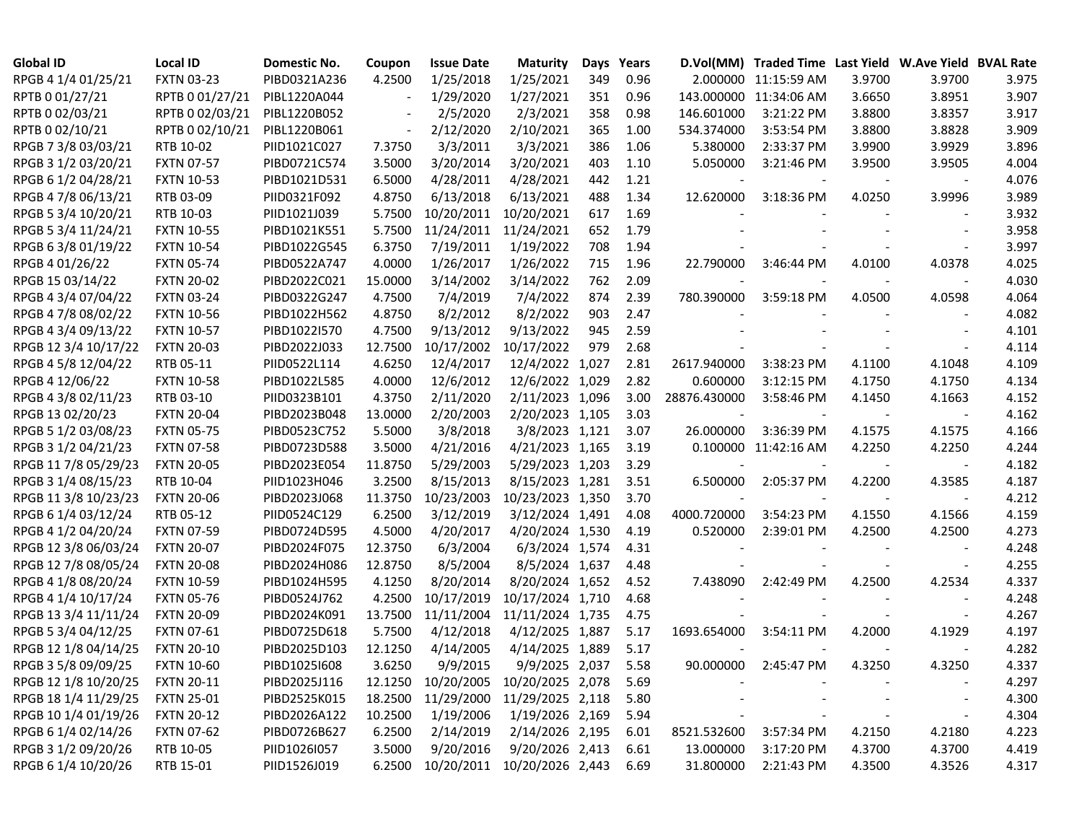| <b>Global ID</b>     | <b>Local ID</b>   | <b>Domestic No.</b> | Coupon  | <b>Issue Date</b>                   | <b>Maturity</b>  | Days  | Years |              | D.Vol(MM) Traded Time Last Yield W.Ave Yield BVAL Rate |        |                          |       |
|----------------------|-------------------|---------------------|---------|-------------------------------------|------------------|-------|-------|--------------|--------------------------------------------------------|--------|--------------------------|-------|
| RPGB 4 1/4 01/25/21  | <b>FXTN 03-23</b> | PIBD0321A236        | 4.2500  | 1/25/2018                           | 1/25/2021        | 349   | 0.96  |              | 2.000000 11:15:59 AM                                   | 3.9700 | 3.9700                   | 3.975 |
| RPTB 0 01/27/21      | RPTB 0 01/27/21   | PIBL1220A044        |         | 1/29/2020                           | 1/27/2021        | 351   | 0.96  |              | 143.000000 11:34:06 AM                                 | 3.6650 | 3.8951                   | 3.907 |
| RPTB 0 02/03/21      | RPTB 0 02/03/21   | PIBL1220B052        |         | 2/5/2020                            | 2/3/2021         | 358   | 0.98  | 146.601000   | 3:21:22 PM                                             | 3.8800 | 3.8357                   | 3.917 |
| RPTB 0 02/10/21      | RPTB 0 02/10/21   | PIBL1220B061        |         | 2/12/2020                           | 2/10/2021        | 365   | 1.00  | 534.374000   | 3:53:54 PM                                             | 3.8800 | 3.8828                   | 3.909 |
| RPGB 7 3/8 03/03/21  | RTB 10-02         | PIID1021C027        | 7.3750  | 3/3/2011                            | 3/3/2021         | 386   | 1.06  | 5.380000     | 2:33:37 PM                                             | 3.9900 | 3.9929                   | 3.896 |
| RPGB 3 1/2 03/20/21  | <b>FXTN 07-57</b> | PIBD0721C574        | 3.5000  | 3/20/2014                           | 3/20/2021        | 403   | 1.10  | 5.050000     | 3:21:46 PM                                             | 3.9500 | 3.9505                   | 4.004 |
| RPGB 6 1/2 04/28/21  | <b>FXTN 10-53</b> | PIBD1021D531        | 6.5000  | 4/28/2011                           | 4/28/2021        | 442   | 1.21  |              |                                                        |        |                          | 4.076 |
| RPGB 4 7/8 06/13/21  | RTB 03-09         | PIID0321F092        | 4.8750  | 6/13/2018                           | 6/13/2021        | 488   | 1.34  | 12.620000    | 3:18:36 PM                                             | 4.0250 | 3.9996                   | 3.989 |
| RPGB 5 3/4 10/20/21  | RTB 10-03         | PIID1021J039        | 5.7500  | 10/20/2011                          | 10/20/2021       | 617   | 1.69  |              |                                                        |        |                          | 3.932 |
| RPGB 5 3/4 11/24/21  | <b>FXTN 10-55</b> | PIBD1021K551        | 5.7500  | 11/24/2011                          | 11/24/2021       | 652   | 1.79  |              |                                                        |        |                          | 3.958 |
| RPGB 63/8 01/19/22   | <b>FXTN 10-54</b> | PIBD1022G545        | 6.3750  | 7/19/2011                           | 1/19/2022        | 708   | 1.94  |              |                                                        |        |                          | 3.997 |
| RPGB 4 01/26/22      | <b>FXTN 05-74</b> | PIBD0522A747        | 4.0000  | 1/26/2017                           | 1/26/2022        | 715   | 1.96  | 22.790000    | 3:46:44 PM                                             | 4.0100 | 4.0378                   | 4.025 |
| RPGB 15 03/14/22     | <b>FXTN 20-02</b> | PIBD2022C021        | 15.0000 | 3/14/2002                           | 3/14/2022        | 762   | 2.09  |              |                                                        |        |                          | 4.030 |
| RPGB 4 3/4 07/04/22  | <b>FXTN 03-24</b> | PIBD0322G247        | 4.7500  | 7/4/2019                            | 7/4/2022         | 874   | 2.39  | 780.390000   | 3:59:18 PM                                             | 4.0500 | 4.0598                   | 4.064 |
| RPGB 4 7/8 08/02/22  | <b>FXTN 10-56</b> | PIBD1022H562        | 4.8750  | 8/2/2012                            | 8/2/2022         | 903   | 2.47  |              |                                                        |        |                          | 4.082 |
| RPGB 4 3/4 09/13/22  | <b>FXTN 10-57</b> | PIBD1022I570        | 4.7500  | 9/13/2012                           | 9/13/2022        | 945   | 2.59  |              |                                                        |        |                          | 4.101 |
| RPGB 12 3/4 10/17/22 | <b>FXTN 20-03</b> | PIBD2022J033        | 12.7500 | 10/17/2002                          | 10/17/2022       | 979   | 2.68  |              |                                                        |        |                          | 4.114 |
| RPGB 4 5/8 12/04/22  | RTB 05-11         | PIID0522L114        | 4.6250  | 12/4/2017                           | 12/4/2022        | 1,027 | 2.81  | 2617.940000  | 3:38:23 PM                                             | 4.1100 | 4.1048                   | 4.109 |
| RPGB 4 12/06/22      | <b>FXTN 10-58</b> | PIBD1022L585        | 4.0000  | 12/6/2012                           | 12/6/2022 1,029  |       | 2.82  | 0.600000     | 3:12:15 PM                                             | 4.1750 | 4.1750                   | 4.134 |
| RPGB 4 3/8 02/11/23  | RTB 03-10         | PIID0323B101        | 4.3750  | 2/11/2020                           | 2/11/2023 1,096  |       | 3.00  | 28876.430000 | 3:58:46 PM                                             | 4.1450 | 4.1663                   | 4.152 |
| RPGB 13 02/20/23     | <b>FXTN 20-04</b> | PIBD2023B048        | 13.0000 | 2/20/2003                           | 2/20/2023 1,105  |       | 3.03  |              |                                                        |        |                          | 4.162 |
| RPGB 5 1/2 03/08/23  | <b>FXTN 05-75</b> | PIBD0523C752        | 5.5000  | 3/8/2018                            | 3/8/2023 1,121   |       | 3.07  | 26.000000    | 3:36:39 PM                                             | 4.1575 | 4.1575                   | 4.166 |
| RPGB 3 1/2 04/21/23  | <b>FXTN 07-58</b> | PIBD0723D588        | 3.5000  | 4/21/2016                           | 4/21/2023 1,165  |       | 3.19  |              | 0.100000 11:42:16 AM                                   | 4.2250 | 4.2250                   | 4.244 |
| RPGB 11 7/8 05/29/23 | <b>FXTN 20-05</b> | PIBD2023E054        | 11.8750 | 5/29/2003                           | 5/29/2023 1,203  |       | 3.29  |              |                                                        |        | $\overline{\phantom{a}}$ | 4.182 |
| RPGB 3 1/4 08/15/23  | RTB 10-04         | PIID1023H046        | 3.2500  | 8/15/2013                           | 8/15/2023 1,281  |       | 3.51  | 6.500000     | 2:05:37 PM                                             | 4.2200 | 4.3585                   | 4.187 |
| RPGB 11 3/8 10/23/23 | <b>FXTN 20-06</b> | PIBD2023J068        | 11.3750 | 10/23/2003                          | 10/23/2023 1,350 |       | 3.70  |              |                                                        |        |                          | 4.212 |
| RPGB 6 1/4 03/12/24  | RTB 05-12         | PIID0524C129        | 6.2500  | 3/12/2019                           | 3/12/2024 1,491  |       | 4.08  | 4000.720000  | 3:54:23 PM                                             | 4.1550 | 4.1566                   | 4.159 |
| RPGB 4 1/2 04/20/24  | <b>FXTN 07-59</b> | PIBD0724D595        | 4.5000  | 4/20/2017                           | 4/20/2024 1,530  |       | 4.19  | 0.520000     | 2:39:01 PM                                             | 4.2500 | 4.2500                   | 4.273 |
| RPGB 12 3/8 06/03/24 | <b>FXTN 20-07</b> | PIBD2024F075        | 12.3750 | 6/3/2004                            | 6/3/2024 1,574   |       | 4.31  |              |                                                        |        |                          | 4.248 |
| RPGB 12 7/8 08/05/24 | <b>FXTN 20-08</b> | PIBD2024H086        | 12.8750 | 8/5/2004                            | 8/5/2024 1,637   |       | 4.48  |              |                                                        |        |                          | 4.255 |
| RPGB 4 1/8 08/20/24  | <b>FXTN 10-59</b> | PIBD1024H595        | 4.1250  | 8/20/2014                           | 8/20/2024 1,652  |       | 4.52  | 7.438090     | 2:42:49 PM                                             | 4.2500 | 4.2534                   | 4.337 |
| RPGB 4 1/4 10/17/24  | <b>FXTN 05-76</b> | PIBD0524J762        | 4.2500  | 10/17/2019                          | 10/17/2024 1,710 |       | 4.68  |              |                                                        |        |                          | 4.248 |
| RPGB 13 3/4 11/11/24 | <b>FXTN 20-09</b> | PIBD2024K091        | 13.7500 | 11/11/2004                          | 11/11/2024 1,735 |       | 4.75  |              |                                                        |        |                          | 4.267 |
| RPGB 5 3/4 04/12/25  | <b>FXTN 07-61</b> | PIBD0725D618        | 5.7500  | 4/12/2018                           | 4/12/2025 1,887  |       | 5.17  | 1693.654000  | 3:54:11 PM                                             | 4.2000 | 4.1929                   | 4.197 |
| RPGB 12 1/8 04/14/25 | <b>FXTN 20-10</b> | PIBD2025D103        | 12.1250 | 4/14/2005                           | 4/14/2025 1,889  |       | 5.17  |              |                                                        |        |                          | 4.282 |
| RPGB 3 5/8 09/09/25  | <b>FXTN 10-60</b> | PIBD10251608        | 3.6250  | 9/9/2015                            | 9/9/2025 2,037   |       | 5.58  | 90.000000    | 2:45:47 PM                                             | 4.3250 | 4.3250                   | 4.337 |
| RPGB 12 1/8 10/20/25 | <b>FXTN 20-11</b> | PIBD2025J116        |         | 12.1250 10/20/2005 10/20/2025 2,078 |                  |       | 5.69  |              |                                                        |        |                          | 4.297 |
| RPGB 18 1/4 11/29/25 | <b>FXTN 25-01</b> | PIBD2525K015        | 18.2500 | 11/29/2000                          | 11/29/2025 2,118 |       | 5.80  |              |                                                        |        |                          | 4.300 |
| RPGB 10 1/4 01/19/26 | <b>FXTN 20-12</b> | PIBD2026A122        | 10.2500 | 1/19/2006                           | 1/19/2026 2,169  |       | 5.94  |              |                                                        |        |                          | 4.304 |
| RPGB 6 1/4 02/14/26  | <b>FXTN 07-62</b> | PIBD0726B627        | 6.2500  | 2/14/2019                           | 2/14/2026 2,195  |       | 6.01  | 8521.532600  | 3:57:34 PM                                             | 4.2150 | 4.2180                   | 4.223 |
| RPGB 3 1/2 09/20/26  | RTB 10-05         | PIID1026I057        | 3.5000  | 9/20/2016                           | 9/20/2026 2,413  |       | 6.61  | 13.000000    | 3:17:20 PM                                             | 4.3700 | 4.3700                   | 4.419 |
| RPGB 6 1/4 10/20/26  | RTB 15-01         | PIID1526J019        | 6.2500  | 10/20/2011                          | 10/20/2026 2,443 |       | 6.69  | 31.800000    | 2:21:43 PM                                             | 4.3500 | 4.3526                   | 4.317 |
|                      |                   |                     |         |                                     |                  |       |       |              |                                                        |        |                          |       |